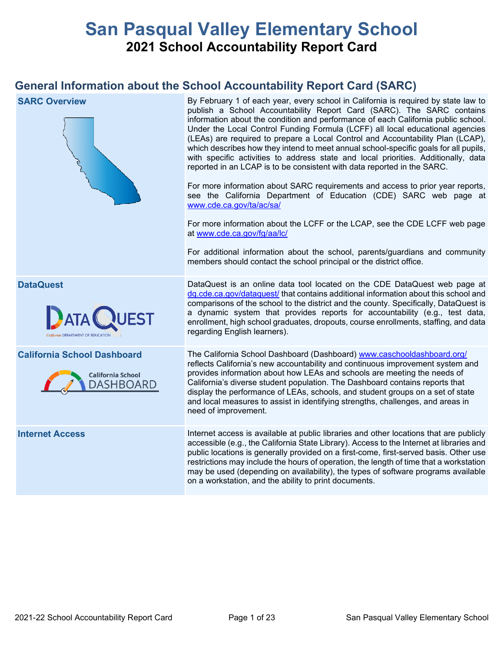# **San Pasqual Valley Elementary School 2021 School Accountability Report Card**

## **General Information about the School Accountability Report Card (SARC)**

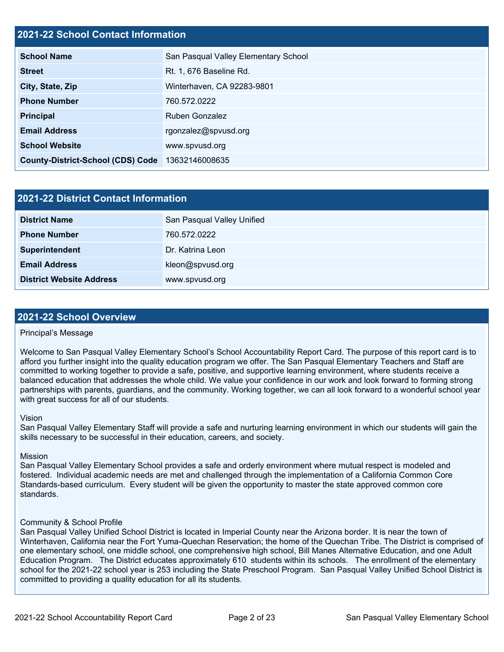### **2021-22 School Contact Information**

| <b>School Name</b>                       | San Pasqual Valley Elementary School |  |  |  |
|------------------------------------------|--------------------------------------|--|--|--|
| <b>Street</b>                            | Rt. 1, 676 Baseline Rd.              |  |  |  |
| City, State, Zip                         | Winterhaven, CA 92283-9801           |  |  |  |
| <b>Phone Number</b>                      | 760.572.0222                         |  |  |  |
| <b>Principal</b>                         | <b>Ruben Gonzalez</b>                |  |  |  |
| <b>Email Address</b>                     | rgonzalez@spvusd.org                 |  |  |  |
| <b>School Website</b>                    | www.spvusd.org                       |  |  |  |
| <b>County-District-School (CDS) Code</b> | 13632146008635                       |  |  |  |

| 2021-22 District Contact Information |                            |  |  |
|--------------------------------------|----------------------------|--|--|
| <b>District Name</b>                 | San Pasqual Valley Unified |  |  |
| <b>Phone Number</b>                  | 760.572.0222               |  |  |
| Superintendent                       | Dr. Katrina Leon           |  |  |
| <b>Email Address</b>                 | kleon@spvusd.org           |  |  |
| <b>District Website Address</b>      | www.spvusd.org             |  |  |

### **2021-22 School Overview**

### Principal's Message

Welcome to San Pasqual Valley Elementary School's School Accountability Report Card. The purpose of this report card is to afford you further insight into the quality education program we offer. The San Pasqual Elementary Teachers and Staff are committed to working together to provide a safe, positive, and supportive learning environment, where students receive a balanced education that addresses the whole child. We value your confidence in our work and look forward to forming strong partnerships with parents, guardians, and the community. Working together, we can all look forward to a wonderful school year with great success for all of our students.

### Vision

San Pasqual Valley Elementary Staff will provide a safe and nurturing learning environment in which our students will gain the skills necessary to be successful in their education, careers, and society.

### Mission

San Pasqual Valley Elementary School provides a safe and orderly environment where mutual respect is modeled and fostered. Individual academic needs are met and challenged through the implementation of a California Common Core Standards-based curriculum. Every student will be given the opportunity to master the state approved common core standards.

### Community & School Profile

San Pasqual Valley Unified School District is located in Imperial County near the Arizona border. It is near the town of Winterhaven, California near the Fort Yuma-Quechan Reservation; the home of the Quechan Tribe. The District is comprised of one elementary school, one middle school, one comprehensive high school, Bill Manes Alternative Education, and one Adult Education Program. The District educates approximately 610 students within its schools. The enrollment of the elementary school for the 2021-22 school year is 253 including the State Preschool Program. San Pasqual Valley Unified School District is committed to providing a quality education for all its students.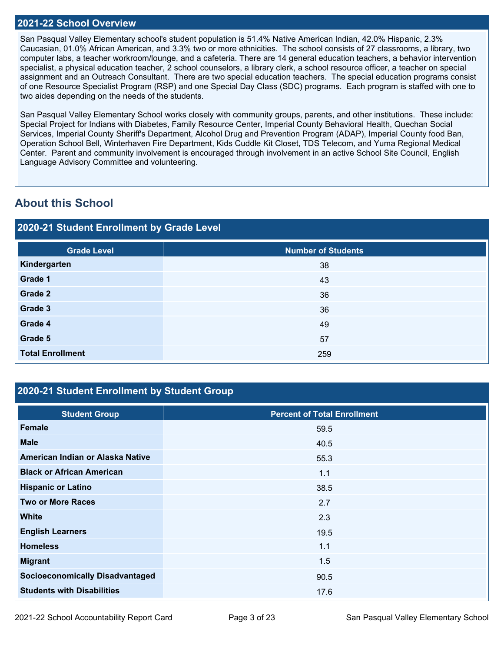### **2021-22 School Overview**

San Pasqual Valley Elementary school's student population is 51.4% Native American Indian, 42.0% Hispanic, 2.3% Caucasian, 01.0% African American, and 3.3% two or more ethnicities. The school consists of 27 classrooms, a library, two computer labs, a teacher workroom/lounge, and a cafeteria. There are 14 general education teachers, a behavior intervention specialist, a physical education teacher, 2 school counselors, a library clerk, a school resource officer, a teacher on special assignment and an Outreach Consultant. There are two special education teachers. The special education programs consist of one Resource Specialist Program (RSP) and one Special Day Class (SDC) programs. Each program is staffed with one to two aides depending on the needs of the students.

San Pasqual Valley Elementary School works closely with community groups, parents, and other institutions. These include: Special Project for Indians with Diabetes, Family Resource Center, Imperial County Behavioral Health, Quechan Social Services, Imperial County Sheriff's Department, Alcohol Drug and Prevention Program (ADAP), Imperial County food Ban, Operation School Bell, Winterhaven Fire Department, Kids Cuddle Kit Closet, TDS Telecom, and Yuma Regional Medical Center. Parent and community involvement is encouraged through involvement in an active School Site Council, English Language Advisory Committee and volunteering.

## **About this School**

## **2020-21 Student Enrollment by Grade Level**

## **2020-21 Student Enrollment by Student Group**

| <b>Student Group</b>                   | <b>Percent of Total Enrollment</b> |
|----------------------------------------|------------------------------------|
| <b>Female</b>                          | 59.5                               |
| <b>Male</b>                            | 40.5                               |
| American Indian or Alaska Native       | 55.3                               |
| <b>Black or African American</b>       | 1.1                                |
| <b>Hispanic or Latino</b>              | 38.5                               |
| <b>Two or More Races</b>               | 2.7                                |
| <b>White</b>                           | 2.3                                |
| <b>English Learners</b>                | 19.5                               |
| <b>Homeless</b>                        | 1.1                                |
| <b>Migrant</b>                         | 1.5                                |
| <b>Socioeconomically Disadvantaged</b> | 90.5                               |
| <b>Students with Disabilities</b>      | 17.6                               |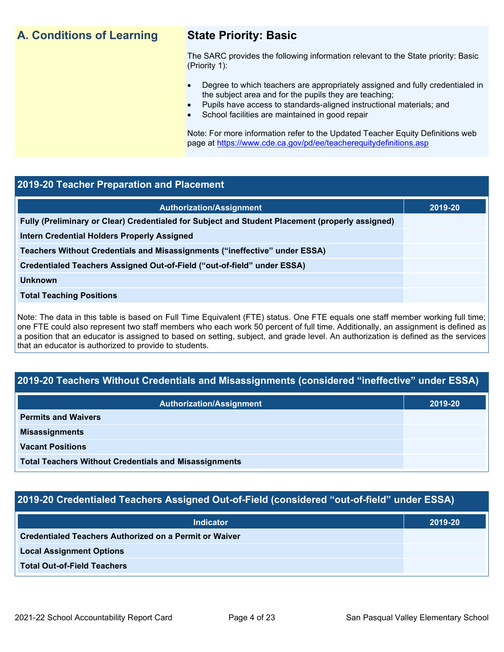## **A. Conditions of Learning State Priority: Basic**

The SARC provides the following information relevant to the State priority: Basic (Priority 1):

- Degree to which teachers are appropriately assigned and fully credentialed in the subject area and for the pupils they are teaching;
	- Pupils have access to standards-aligned instructional materials; and
- School facilities are maintained in good repair

Note: For more information refer to the Updated Teacher Equity Definitions web page at<https://www.cde.ca.gov/pd/ee/teacherequitydefinitions.asp>

### **2019-20 Teacher Preparation and Placement**

| <b>Authorization/Assignment</b>                                                                 | 2019-20 |
|-------------------------------------------------------------------------------------------------|---------|
| Fully (Preliminary or Clear) Credentialed for Subject and Student Placement (properly assigned) |         |
| <b>Intern Credential Holders Properly Assigned</b>                                              |         |
| Teachers Without Credentials and Misassignments ("ineffective" under ESSA)                      |         |
| Credentialed Teachers Assigned Out-of-Field ("out-of-field" under ESSA)                         |         |
| <b>Unknown</b>                                                                                  |         |
| <b>Total Teaching Positions</b>                                                                 |         |
|                                                                                                 |         |

Note: The data in this table is based on Full Time Equivalent (FTE) status. One FTE equals one staff member working full time; one FTE could also represent two staff members who each work 50 percent of full time. Additionally, an assignment is defined as a position that an educator is assigned to based on setting, subject, and grade level. An authorization is defined as the services that an educator is authorized to provide to students.

## **2019-20 Teachers Without Credentials and Misassignments (considered "ineffective" under ESSA)**

| <b>Authorization/Assignment</b>                              | 2019-20 |
|--------------------------------------------------------------|---------|
| <b>Permits and Waivers</b>                                   |         |
| <b>Misassignments</b>                                        |         |
| <b>Vacant Positions</b>                                      |         |
| <b>Total Teachers Without Credentials and Misassignments</b> |         |

### **2019-20 Credentialed Teachers Assigned Out-of-Field (considered "out-of-field" under ESSA)**

| <b>Indicator</b>                                       | 2019-20 |
|--------------------------------------------------------|---------|
| Credentialed Teachers Authorized on a Permit or Waiver |         |
| <b>Local Assignment Options</b>                        |         |
| <b>Total Out-of-Field Teachers</b>                     |         |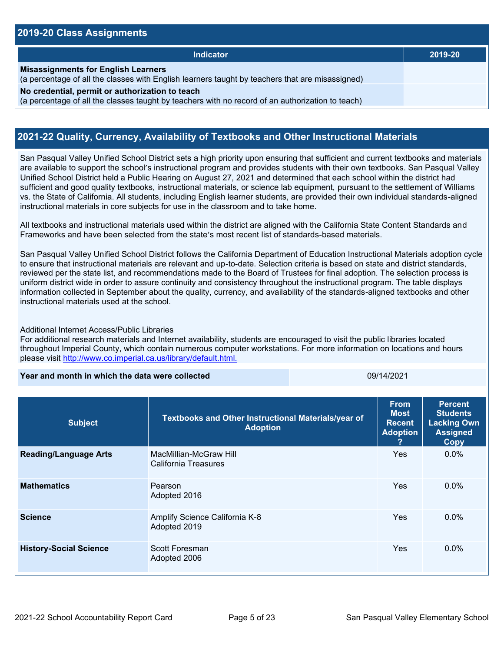### **2019-20 Class Assignments**

| <b>Indicator</b>                                                                                                                                    | 2019-20 |
|-----------------------------------------------------------------------------------------------------------------------------------------------------|---------|
| <b>Misassignments for English Learners</b><br>(a percentage of all the classes with English learners taught by teachers that are misassigned)       |         |
| No credential, permit or authorization to teach<br>(a percentage of all the classes taught by teachers with no record of an authorization to teach) |         |

### **2021-22 Quality, Currency, Availability of Textbooks and Other Instructional Materials**

San Pasqual Valley Unified School District sets a high priority upon ensuring that sufficient and current textbooks and materials are available to support the school's instructional program and provides students with their own textbooks. San Pasqual Valley Unified School District held a Public Hearing on August 27, 2021 and determined that each school within the district had sufficient and good quality textbooks, instructional materials, or science lab equipment, pursuant to the settlement of Williams vs. the State of California. All students, including English learner students, are provided their own individual standards-aligned instructional materials in core subjects for use in the classroom and to take home.

All textbooks and instructional materials used within the district are aligned with the California State Content Standards and Frameworks and have been selected from the state's most recent list of standards-based materials.

San Pasqual Valley Unified School District follows the California Department of Education Instructional Materials adoption cycle to ensure that instructional materials are relevant and up-to-date. Selection criteria is based on state and district standards, reviewed per the state list, and recommendations made to the Board of Trustees for final adoption. The selection process is uniform district wide in order to assure continuity and consistency throughout the instructional program. The table displays information collected in September about the quality, currency, and availability of the standards-aligned textbooks and other instructional materials used at the school.

### Additional Internet Access/Public Libraries

For additional research materials and Internet availability, students are encouraged to visit the public libraries located throughout Imperial County, which contain numerous computer workstations. For more information on locations and hours please visit<http://www.co.imperial.ca.us/library/default.html.>

**Year and month in which the data were collected** 09/14/2021

| <b>Subject</b>                | Textbooks and Other Instructional Materials/year of<br><b>Adoption</b> | <b>From</b><br><b>Most</b><br><b>Recent</b><br><b>Adoption</b><br>? | <b>Percent</b><br><b>Students</b><br><b>Lacking Own</b><br><b>Assigned</b><br>Copy |
|-------------------------------|------------------------------------------------------------------------|---------------------------------------------------------------------|------------------------------------------------------------------------------------|
| <b>Reading/Language Arts</b>  | MacMillian-McGraw Hill<br>California Treasures                         | <b>Yes</b>                                                          | $0.0\%$                                                                            |
| <b>Mathematics</b>            | Pearson<br>Adopted 2016                                                | Yes                                                                 | $0.0\%$                                                                            |
| <b>Science</b>                | Amplify Science California K-8<br>Adopted 2019                         | Yes                                                                 | $0.0\%$                                                                            |
| <b>History-Social Science</b> | Scott Foresman<br>Adopted 2006                                         | Yes                                                                 | $0.0\%$                                                                            |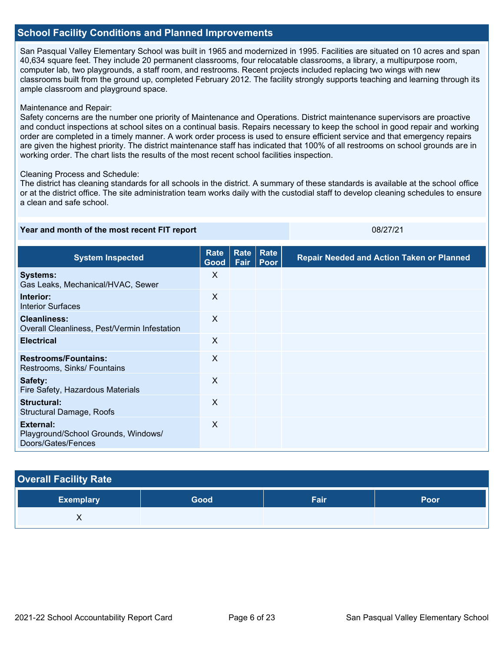### **School Facility Conditions and Planned Improvements**

San Pasqual Valley Elementary School was built in 1965 and modernized in 1995. Facilities are situated on 10 acres and span 40,634 square feet. They include 20 permanent classrooms, four relocatable classrooms, a library, a multipurpose room, computer lab, two playgrounds, a staff room, and restrooms. Recent projects included replacing two wings with new classrooms built from the ground up, completed February 2012. The facility strongly supports teaching and learning through its ample classroom and playground space.

### Maintenance and Repair:

Safety concerns are the number one priority of Maintenance and Operations. District maintenance supervisors are proactive and conduct inspections at school sites on a continual basis. Repairs necessary to keep the school in good repair and working order are completed in a timely manner. A work order process is used to ensure efficient service and that emergency repairs are given the highest priority. The district maintenance staff has indicated that 100% of all restrooms on school grounds are in working order. The chart lists the results of the most recent school facilities inspection.

### Cleaning Process and Schedule:

The district has cleaning standards for all schools in the district. A summary of these standards is available at the school office or at the district office. The site administration team works daily with the custodial staff to develop cleaning schedules to ensure a clean and safe school.

**Year and month of the most recent FIT report** 08/27/21 and 08/27/21

| <b>System Inspected</b>                                                | <b>Rate</b><br>Good | Rate<br>Fair | Rate<br>Poor | <b>Repair Needed and Action Taken or Planned</b> |
|------------------------------------------------------------------------|---------------------|--------------|--------------|--------------------------------------------------|
| <b>Systems:</b><br>Gas Leaks, Mechanical/HVAC, Sewer                   | X                   |              |              |                                                  |
| Interior:<br><b>Interior Surfaces</b>                                  | $\times$            |              |              |                                                  |
| <b>Cleanliness:</b><br>Overall Cleanliness, Pest/Vermin Infestation    | $\sf X$             |              |              |                                                  |
| <b>Electrical</b>                                                      | X                   |              |              |                                                  |
| <b>Restrooms/Fountains:</b><br>Restrooms, Sinks/ Fountains             | X                   |              |              |                                                  |
| Safety:<br>Fire Safety, Hazardous Materials                            | X                   |              |              |                                                  |
| Structural:<br><b>Structural Damage, Roofs</b>                         | X                   |              |              |                                                  |
| External:<br>Playground/School Grounds, Windows/<br>Doors/Gates/Fences | X                   |              |              |                                                  |

| <b>Overall Facility Rate</b> |      |      |      |  |  |  |
|------------------------------|------|------|------|--|--|--|
| <b>Exemplary</b>             | Good | Fair | Poor |  |  |  |
| х                            |      |      |      |  |  |  |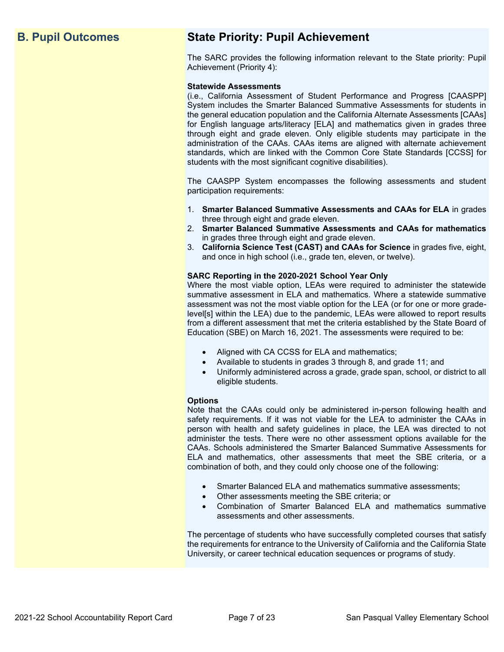## **B. Pupil Outcomes State Priority: Pupil Achievement**

The SARC provides the following information relevant to the State priority: Pupil Achievement (Priority 4):

### **Statewide Assessments**

(i.e., California Assessment of Student Performance and Progress [CAASPP] System includes the Smarter Balanced Summative Assessments for students in the general education population and the California Alternate Assessments [CAAs] for English language arts/literacy [ELA] and mathematics given in grades three through eight and grade eleven. Only eligible students may participate in the administration of the CAAs. CAAs items are aligned with alternate achievement standards, which are linked with the Common Core State Standards [CCSS] for students with the most significant cognitive disabilities).

The CAASPP System encompasses the following assessments and student participation requirements:

- 1. **Smarter Balanced Summative Assessments and CAAs for ELA** in grades three through eight and grade eleven.
- 2. **Smarter Balanced Summative Assessments and CAAs for mathematics** in grades three through eight and grade eleven.
- 3. **California Science Test (CAST) and CAAs for Science** in grades five, eight, and once in high school (i.e., grade ten, eleven, or twelve).

### **SARC Reporting in the 2020-2021 School Year Only**

Where the most viable option, LEAs were required to administer the statewide summative assessment in ELA and mathematics. Where a statewide summative assessment was not the most viable option for the LEA (or for one or more gradelevel[s] within the LEA) due to the pandemic, LEAs were allowed to report results from a different assessment that met the criteria established by the State Board of Education (SBE) on March 16, 2021. The assessments were required to be:

- Aligned with CA CCSS for ELA and mathematics;
- Available to students in grades 3 through 8, and grade 11; and
- Uniformly administered across a grade, grade span, school, or district to all eligible students.

### **Options**

Note that the CAAs could only be administered in-person following health and safety requirements. If it was not viable for the LEA to administer the CAAs in person with health and safety guidelines in place, the LEA was directed to not administer the tests. There were no other assessment options available for the CAAs. Schools administered the Smarter Balanced Summative Assessments for ELA and mathematics, other assessments that meet the SBE criteria, or a combination of both, and they could only choose one of the following:

- Smarter Balanced ELA and mathematics summative assessments;
- Other assessments meeting the SBE criteria; or
- Combination of Smarter Balanced ELA and mathematics summative assessments and other assessments.

The percentage of students who have successfully completed courses that satisfy the requirements for entrance to the University of California and the California State University, or career technical education sequences or programs of study.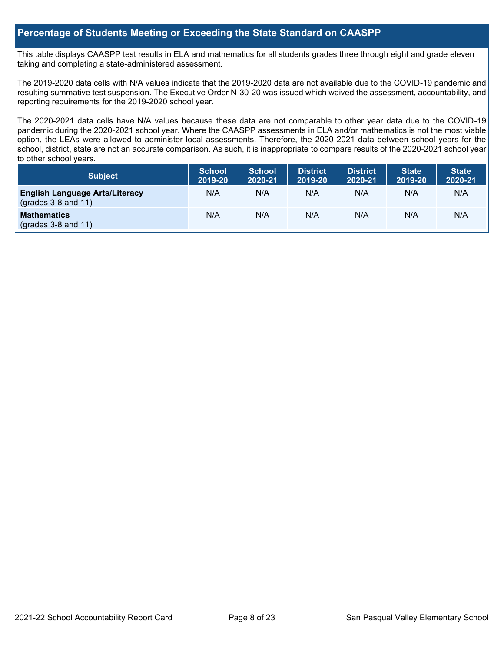### **Percentage of Students Meeting or Exceeding the State Standard on CAASPP**

This table displays CAASPP test results in ELA and mathematics for all students grades three through eight and grade eleven taking and completing a state-administered assessment.

The 2019-2020 data cells with N/A values indicate that the 2019-2020 data are not available due to the COVID-19 pandemic and resulting summative test suspension. The Executive Order N-30-20 was issued which waived the assessment, accountability, and reporting requirements for the 2019-2020 school year.

The 2020-2021 data cells have N/A values because these data are not comparable to other year data due to the COVID-19 pandemic during the 2020-2021 school year. Where the CAASPP assessments in ELA and/or mathematics is not the most viable option, the LEAs were allowed to administer local assessments. Therefore, the 2020-2021 data between school years for the school, district, state are not an accurate comparison. As such, it is inappropriate to compare results of the 2020-2021 school year to other school years.

| Subject                                                              | <b>School</b><br>2019-20 | <b>School</b><br>2020-21 | <b>District</b><br>2019-20 | <b>District</b><br>2020-21 | <b>State</b><br>2019-20 | <b>State</b><br>2020-21 |
|----------------------------------------------------------------------|--------------------------|--------------------------|----------------------------|----------------------------|-------------------------|-------------------------|
| <b>English Language Arts/Literacy</b><br>$\left($ grades 3-8 and 11) | N/A                      | N/A                      | N/A                        | N/A                        | N/A                     | N/A                     |
| <b>Mathematics</b><br>$(grades 3-8 and 11)$                          | N/A                      | N/A                      | N/A                        | N/A                        | N/A                     | N/A                     |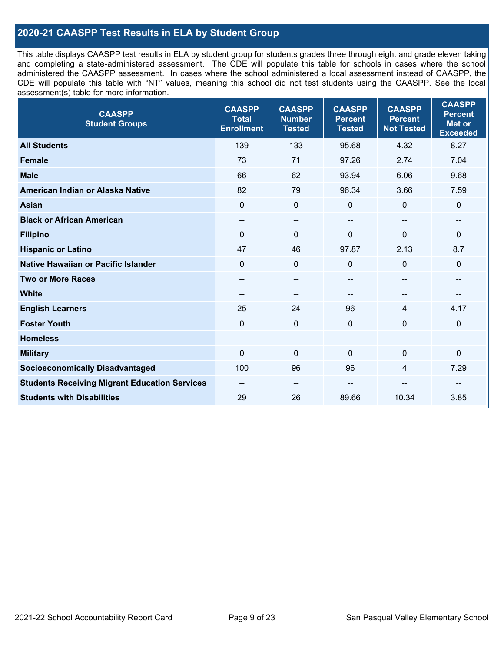## **2020-21 CAASPP Test Results in ELA by Student Group**

This table displays CAASPP test results in ELA by student group for students grades three through eight and grade eleven taking and completing a state-administered assessment. The CDE will populate this table for schools in cases where the school administered the CAASPP assessment. In cases where the school administered a local assessment instead of CAASPP, the CDE will populate this table with "NT" values, meaning this school did not test students using the CAASPP. See the local assessment(s) table for more information.

| <b>CAASPP</b><br><b>Student Groups</b>               | <b>CAASPP</b><br><b>Total</b><br><b>Enrollment</b> | <b>CAASPP</b><br><b>Number</b><br><b>Tested</b> | <b>CAASPP</b><br><b>Percent</b><br><b>Tested</b> | <b>CAASPP</b><br><b>Percent</b><br><b>Not Tested</b> | <b>CAASPP</b><br><b>Percent</b><br>Met or<br><b>Exceeded</b> |
|------------------------------------------------------|----------------------------------------------------|-------------------------------------------------|--------------------------------------------------|------------------------------------------------------|--------------------------------------------------------------|
| <b>All Students</b>                                  | 139                                                | 133                                             | 95.68                                            | 4.32                                                 | 8.27                                                         |
| <b>Female</b>                                        | 73                                                 | 71                                              | 97.26                                            | 2.74                                                 | 7.04                                                         |
| <b>Male</b>                                          | 66                                                 | 62                                              | 93.94                                            | 6.06                                                 | 9.68                                                         |
| American Indian or Alaska Native                     | 82                                                 | 79                                              | 96.34                                            | 3.66                                                 | 7.59                                                         |
| <b>Asian</b>                                         | $\mathbf 0$                                        | $\pmb{0}$                                       | 0                                                | $\mathbf{0}$                                         | 0                                                            |
| <b>Black or African American</b>                     | $\overline{\phantom{a}}$                           | $\overline{\phantom{a}}$                        | --                                               | $\overline{\phantom{a}}$                             | $\qquad \qquad -$                                            |
| <b>Filipino</b>                                      | $\Omega$                                           | $\mathbf 0$                                     | $\Omega$                                         | $\Omega$                                             | 0                                                            |
| <b>Hispanic or Latino</b>                            | 47                                                 | 46                                              | 97.87                                            | 2.13                                                 | 8.7                                                          |
| <b>Native Hawaiian or Pacific Islander</b>           | $\mathbf 0$                                        | $\pmb{0}$                                       | 0                                                | $\mathbf 0$                                          | 0                                                            |
| <b>Two or More Races</b>                             | --                                                 | --                                              |                                                  |                                                      | --                                                           |
| <b>White</b>                                         | $- -$                                              | $\qquad \qquad -$                               | --                                               | $\hspace{0.05cm}$                                    | --                                                           |
| <b>English Learners</b>                              | 25                                                 | 24                                              | 96                                               | $\overline{4}$                                       | 4.17                                                         |
| <b>Foster Youth</b>                                  | $\Omega$                                           | $\mathbf 0$                                     | $\Omega$                                         | $\Omega$                                             | 0                                                            |
| <b>Homeless</b>                                      | --                                                 | $\overline{\phantom{a}}$                        | --                                               | $\sim$                                               | --                                                           |
| <b>Military</b>                                      | $\Omega$                                           | $\mathbf 0$                                     | $\mathbf{0}$                                     | $\mathbf{0}$                                         | 0                                                            |
| <b>Socioeconomically Disadvantaged</b>               | 100                                                | 96                                              | 96                                               | $\overline{4}$                                       | 7.29                                                         |
| <b>Students Receiving Migrant Education Services</b> | --                                                 | --                                              | --                                               | --                                                   |                                                              |
| <b>Students with Disabilities</b>                    | 29                                                 | 26                                              | 89.66                                            | 10.34                                                | 3.85                                                         |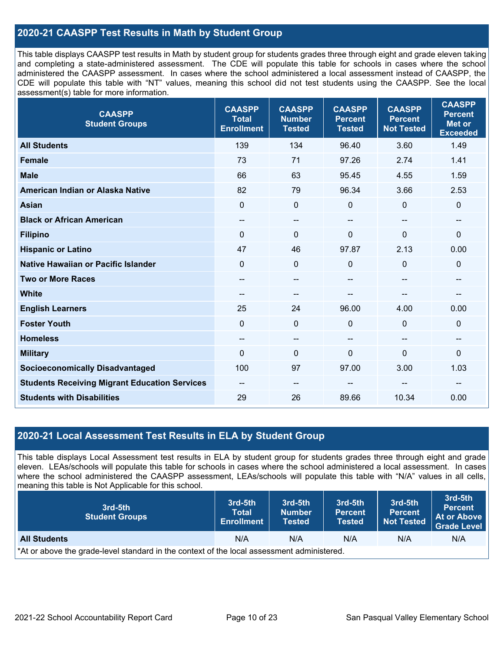### **2020-21 CAASPP Test Results in Math by Student Group**

This table displays CAASPP test results in Math by student group for students grades three through eight and grade eleven taking and completing a state-administered assessment. The CDE will populate this table for schools in cases where the school administered the CAASPP assessment. In cases where the school administered a local assessment instead of CAASPP, the CDE will populate this table with "NT" values, meaning this school did not test students using the CAASPP. See the local assessment(s) table for more information.

| <b>CAASPP</b><br><b>Student Groups</b>               | <b>CAASPP</b><br><b>Total</b><br><b>Enrollment</b> | <b>CAASPP</b><br><b>Number</b><br><b>Tested</b> | <b>CAASPP</b><br><b>Percent</b><br><b>Tested</b> | <b>CAASPP</b><br><b>Percent</b><br><b>Not Tested</b> | <b>CAASPP</b><br><b>Percent</b><br><b>Met or</b><br><b>Exceeded</b> |
|------------------------------------------------------|----------------------------------------------------|-------------------------------------------------|--------------------------------------------------|------------------------------------------------------|---------------------------------------------------------------------|
| <b>All Students</b>                                  | 139                                                | 134                                             | 96.40                                            | 3.60                                                 | 1.49                                                                |
| <b>Female</b>                                        | 73                                                 | 71                                              | 97.26                                            | 2.74                                                 | 1.41                                                                |
| <b>Male</b>                                          | 66                                                 | 63                                              | 95.45                                            | 4.55                                                 | 1.59                                                                |
| American Indian or Alaska Native                     | 82                                                 | 79                                              | 96.34                                            | 3.66                                                 | 2.53                                                                |
| <b>Asian</b>                                         | $\mathbf{0}$                                       | 0                                               | $\mathbf 0$                                      | 0                                                    | $\mathbf 0$                                                         |
| <b>Black or African American</b>                     | --                                                 | $\overline{\phantom{m}}$                        | $\overline{\phantom{a}}$                         | $\overline{\phantom{a}}$                             | $\overline{\phantom{a}}$                                            |
| <b>Filipino</b>                                      | $\mathbf{0}$                                       | 0                                               | $\mathbf 0$                                      | $\Omega$                                             | $\mathbf 0$                                                         |
| <b>Hispanic or Latino</b>                            | 47                                                 | 46                                              | 97.87                                            | 2.13                                                 | 0.00                                                                |
| <b>Native Hawaiian or Pacific Islander</b>           | $\Omega$                                           | $\boldsymbol{0}$                                | $\mathbf 0$                                      | 0                                                    | $\pmb{0}$                                                           |
| <b>Two or More Races</b>                             | --                                                 | --                                              | --                                               | --                                                   | $\hspace{0.05cm}$ – $\hspace{0.05cm}$                               |
| <b>White</b>                                         | $\qquad \qquad -$                                  | --                                              | --                                               | --                                                   | --                                                                  |
| <b>English Learners</b>                              | 25                                                 | 24                                              | 96.00                                            | 4.00                                                 | 0.00                                                                |
| <b>Foster Youth</b>                                  | $\Omega$                                           | 0                                               | $\mathbf 0$                                      | $\Omega$                                             | $\mathbf 0$                                                         |
| <b>Homeless</b>                                      | $\qquad \qquad -$                                  | --                                              | $\overline{\phantom{a}}$                         | $\overline{\phantom{a}}$                             | $\hspace{0.05cm}$                                                   |
| <b>Military</b>                                      | 0                                                  | 0                                               | $\mathbf 0$                                      | 0                                                    | $\pmb{0}$                                                           |
| <b>Socioeconomically Disadvantaged</b>               | 100                                                | 97                                              | 97.00                                            | 3.00                                                 | 1.03                                                                |
| <b>Students Receiving Migrant Education Services</b> | --                                                 | --                                              |                                                  |                                                      |                                                                     |
| <b>Students with Disabilities</b>                    | 29                                                 | 26                                              | 89.66                                            | 10.34                                                | 0.00                                                                |

### **2020-21 Local Assessment Test Results in ELA by Student Group**

This table displays Local Assessment test results in ELA by student group for students grades three through eight and grade eleven. LEAs/schools will populate this table for schools in cases where the school administered a local assessment. In cases where the school administered the CAASPP assessment, LEAs/schools will populate this table with "N/A" values in all cells, meaning this table is Not Applicable for this school.

| 3rd-5th<br><b>Student Groups</b>                                                           | 3rd-5th<br><b>Total</b><br><b>Enrollment</b> | 3rd-5th<br><b>Number</b><br><b>Tested</b> | 3rd-5th<br><b>Percent</b><br><b>Tested</b> | 3rd-5th<br><b>Percent</b><br><b>Not Tested</b> | 3rd-5th<br><b>Percent</b><br>At or Above<br><b>Grade Level</b> |  |
|--------------------------------------------------------------------------------------------|----------------------------------------------|-------------------------------------------|--------------------------------------------|------------------------------------------------|----------------------------------------------------------------|--|
| <b>All Students</b>                                                                        | N/A                                          | N/A                                       | N/A                                        | N/A                                            | N/A                                                            |  |
| *At or above the grade-level standard in the context of the local assessment administered. |                                              |                                           |                                            |                                                |                                                                |  |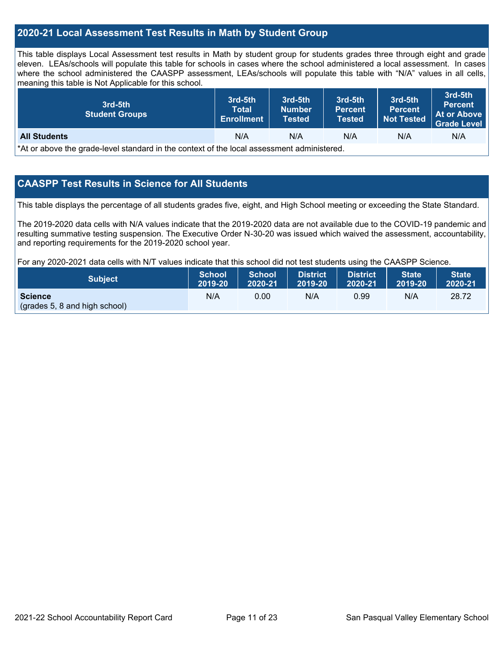### **2020-21 Local Assessment Test Results in Math by Student Group**

This table displays Local Assessment test results in Math by student group for students grades three through eight and grade eleven. LEAs/schools will populate this table for schools in cases where the school administered a local assessment. In cases where the school administered the CAASPP assessment, LEAs/schools will populate this table with "N/A" values in all cells, meaning this table is Not Applicable for this school.

| 3rd-5th<br><b>Student Groups</b>                                                           | 3rd-5th<br><b>Total</b><br><b>Enrollment</b> | 3rd-5th<br><b>Number</b><br>Tested | 3rd-5th<br><b>Percent</b><br><b>Tested</b> | 3rd-5th<br>Percent.<br><b>Not Tested</b> | 3rd-5th<br><b>Percent</b><br>At or Above<br><b>Grade Level</b> |  |
|--------------------------------------------------------------------------------------------|----------------------------------------------|------------------------------------|--------------------------------------------|------------------------------------------|----------------------------------------------------------------|--|
| N/A<br><b>All Students</b><br>N/A<br>N/A<br>N/A<br>N/A                                     |                                              |                                    |                                            |                                          |                                                                |  |
| *At or above the grade-level standard in the context of the local assessment administered. |                                              |                                    |                                            |                                          |                                                                |  |

### **CAASPP Test Results in Science for All Students**

This table displays the percentage of all students grades five, eight, and High School meeting or exceeding the State Standard.

The 2019-2020 data cells with N/A values indicate that the 2019-2020 data are not available due to the COVID-19 pandemic and resulting summative testing suspension. The Executive Order N-30-20 was issued which waived the assessment, accountability, and reporting requirements for the 2019-2020 school year.

For any 2020-2021 data cells with N/T values indicate that this school did not test students using the CAASPP Science.

| <b>Subject</b>                                  | <b>School</b> | <b>School</b> | <b>District</b>   | <b>District</b> | <b>State</b> | <b>State</b> |
|-------------------------------------------------|---------------|---------------|-------------------|-----------------|--------------|--------------|
|                                                 | 2019-20       | 2020-21       | $ 2019-20\rangle$ | 2020-21         | 2019-20      | 2020-21      |
| <b>Science</b><br>(grades 5, 8 and high school) | N/A           | 0.00          | N/A               | 0.99            | N/A          | 28.72        |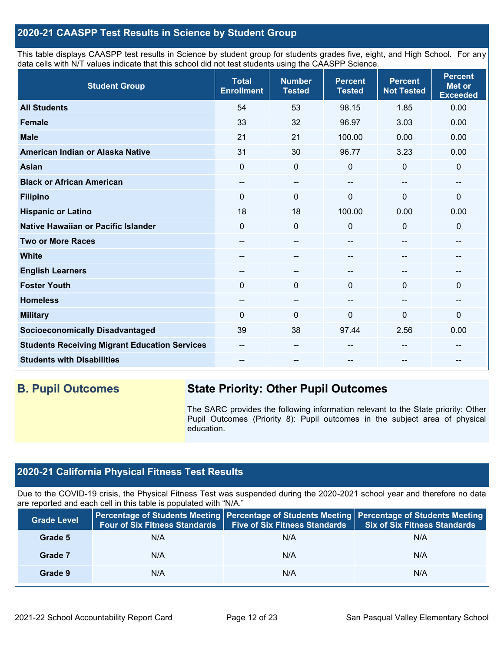### **2020-21 CAASPP Test Results in Science by Student Group**

This table displays CAASPP test results in Science by student group for students grades five, eight, and High School. For any data cells with N/T values indicate that this school did not test students using the CAASPP Science.

| <b>Student Group</b>                                 | <b>Total</b><br><b>Enrollment</b> | <b>Number</b><br><b>Tested</b> | <b>Percent</b><br><b>Tested</b> | <b>Percent</b><br><b>Not Tested</b> | <b>Percent</b><br><b>Met or</b><br><b>Exceeded</b> |
|------------------------------------------------------|-----------------------------------|--------------------------------|---------------------------------|-------------------------------------|----------------------------------------------------|
| <b>All Students</b>                                  | 54                                | 53                             | 98.15                           | 1.85                                | 0.00                                               |
| <b>Female</b>                                        | 33                                | 32                             | 96.97                           | 3.03                                | 0.00                                               |
| <b>Male</b>                                          | 21                                | 21                             | 100.00                          | 0.00                                | 0.00                                               |
| American Indian or Alaska Native                     | 31                                | 30                             | 96.77                           | 3.23                                | 0.00                                               |
| <b>Asian</b>                                         | 0                                 | $\mathbf 0$                    | 0                               | $\mathbf{0}$                        | 0                                                  |
| <b>Black or African American</b>                     | --                                | $\qquad \qquad -$              | --                              | --                                  | $- -$                                              |
| <b>Filipino</b>                                      | 0                                 | $\mathbf 0$                    | 0                               | 0                                   | 0                                                  |
| <b>Hispanic or Latino</b>                            | 18                                | 18                             | 100.00                          | 0.00                                | 0.00                                               |
| Native Hawaiian or Pacific Islander                  | 0                                 | $\mathbf 0$                    | 0                               | $\mathbf{0}$                        | 0                                                  |
| <b>Two or More Races</b>                             | --                                | $\sim$                         | --                              | --                                  | --                                                 |
| <b>White</b>                                         | --                                | --                             |                                 | --                                  | --                                                 |
| <b>English Learners</b>                              | --                                | $\qquad \qquad \cdots$         | --                              | --                                  | --                                                 |
| <b>Foster Youth</b>                                  | $\Omega$                          | $\mathbf 0$                    | $\Omega$                        | $\Omega$                            | 0                                                  |
| <b>Homeless</b>                                      | --                                | $\qquad \qquad \cdots$         | --                              | --                                  | --                                                 |
| <b>Military</b>                                      | $\Omega$                          | $\mathbf 0$                    | $\Omega$                        | $\Omega$                            | 0                                                  |
| <b>Socioeconomically Disadvantaged</b>               | 39                                | 38                             | 97.44                           | 2.56                                | 0.00                                               |
| <b>Students Receiving Migrant Education Services</b> | --                                | $- -$                          | --                              | --                                  |                                                    |
| <b>Students with Disabilities</b>                    | --                                | --                             |                                 | --                                  | --                                                 |

## **B. Pupil Outcomes State Priority: Other Pupil Outcomes**

The SARC provides the following information relevant to the State priority: Other Pupil Outcomes (Priority 8): Pupil outcomes in the subject area of physical education.

## **2020-21 California Physical Fitness Test Results**

Due to the COVID-19 crisis, the Physical Fitness Test was suspended during the 2020-2021 school year and therefore no data are reported and each cell in this table is populated with "N/A."

| <b>Grade Level</b> | Four of Six Fitness Standards   Five of Six Fitness Standards |     | Percentage of Students Meeting   Percentage of Students Meeting   Percentage of Students Meeting<br><b>Six of Six Fitness Standards</b> |
|--------------------|---------------------------------------------------------------|-----|-----------------------------------------------------------------------------------------------------------------------------------------|
| Grade 5            | N/A                                                           | N/A | N/A                                                                                                                                     |
| Grade 7            | N/A                                                           | N/A | N/A                                                                                                                                     |
| Grade 9            | N/A                                                           | N/A | N/A                                                                                                                                     |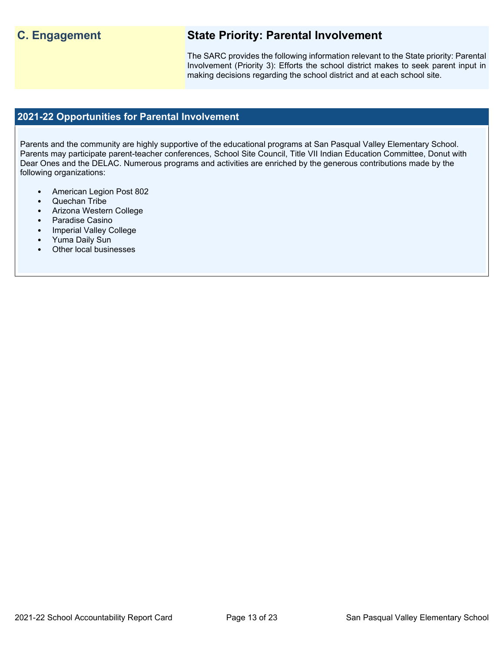## **C. Engagement State Priority: Parental Involvement**

The SARC provides the following information relevant to the State priority: Parental Involvement (Priority 3): Efforts the school district makes to seek parent input in making decisions regarding the school district and at each school site.

### **2021-22 Opportunities for Parental Involvement**

Parents and the community are highly supportive of the educational programs at San Pasqual Valley Elementary School. Parents may participate parent-teacher conferences, School Site Council, Title VII Indian Education Committee, Donut with Dear Ones and the DELAC. Numerous programs and activities are enriched by the generous contributions made by the following organizations:

- American Legion Post 802
- Quechan Tribe
- Arizona Western College
- Paradise Casino
- Imperial Valley College
- Yuma Daily Sun
- Other local businesses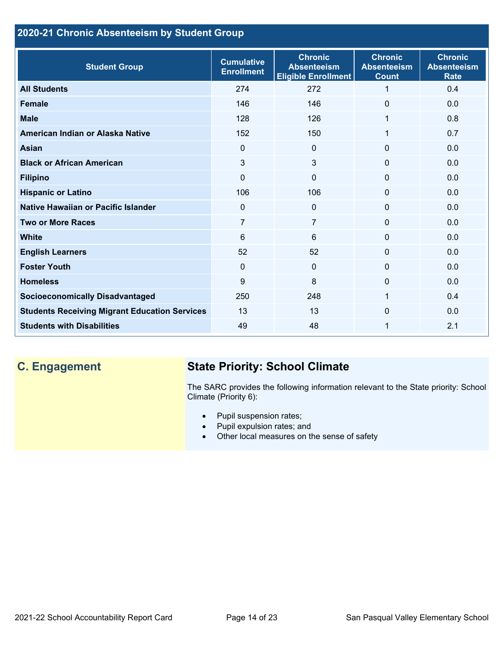## **2020-21 Chronic Absenteeism by Student Group**

| <b>Student Group</b>                                 | <b>Cumulative</b><br><b>Enrollment</b> | <b>Chronic</b><br><b>Absenteeism</b><br><b>Eligible Enrollment</b> | <b>Chronic</b><br><b>Absenteeism</b><br><b>Count</b> | <b>Chronic</b><br><b>Absenteeism</b><br><b>Rate</b> |
|------------------------------------------------------|----------------------------------------|--------------------------------------------------------------------|------------------------------------------------------|-----------------------------------------------------|
| <b>All Students</b>                                  | 274                                    | 272                                                                | 1                                                    | 0.4                                                 |
| <b>Female</b>                                        | 146                                    | 146                                                                | $\Omega$                                             | 0.0                                                 |
| <b>Male</b>                                          | 128                                    | 126                                                                | 1                                                    | 0.8                                                 |
| American Indian or Alaska Native                     | 152                                    | 150                                                                | 1                                                    | 0.7                                                 |
| <b>Asian</b>                                         | $\Omega$                               | $\overline{0}$                                                     | $\Omega$                                             | 0.0                                                 |
| <b>Black or African American</b>                     | 3                                      | 3                                                                  | $\mathbf{0}$                                         | 0.0                                                 |
| <b>Filipino</b>                                      | 0                                      | $\mathbf 0$                                                        | $\mathbf{0}$                                         | 0.0                                                 |
| <b>Hispanic or Latino</b>                            | 106                                    | 106                                                                | 0                                                    | 0.0                                                 |
| Native Hawaiian or Pacific Islander                  | $\mathbf 0$                            | $\mathbf 0$                                                        | 0                                                    | 0.0                                                 |
| <b>Two or More Races</b>                             | 7                                      | $\overline{7}$                                                     | $\Omega$                                             | 0.0                                                 |
| <b>White</b>                                         | 6                                      | 6                                                                  | $\Omega$                                             | 0.0                                                 |
| <b>English Learners</b>                              | 52                                     | 52                                                                 | $\Omega$                                             | 0.0                                                 |
| <b>Foster Youth</b>                                  | $\Omega$                               | $\mathbf{0}$                                                       | $\Omega$                                             | 0.0                                                 |
| <b>Homeless</b>                                      | 9                                      | 8                                                                  | 0                                                    | 0.0                                                 |
| <b>Socioeconomically Disadvantaged</b>               | 250                                    | 248                                                                | 1                                                    | 0.4                                                 |
| <b>Students Receiving Migrant Education Services</b> | 13                                     | 13                                                                 | $\Omega$                                             | 0.0                                                 |
| <b>Students with Disabilities</b>                    | 49                                     | 48                                                                 | 1                                                    | 2.1                                                 |

# **C. Engagement State Priority: School Climate**

The SARC provides the following information relevant to the State priority: School Climate (Priority 6):

- Pupil suspension rates;
- Pupil expulsion rates; and
- Other local measures on the sense of safety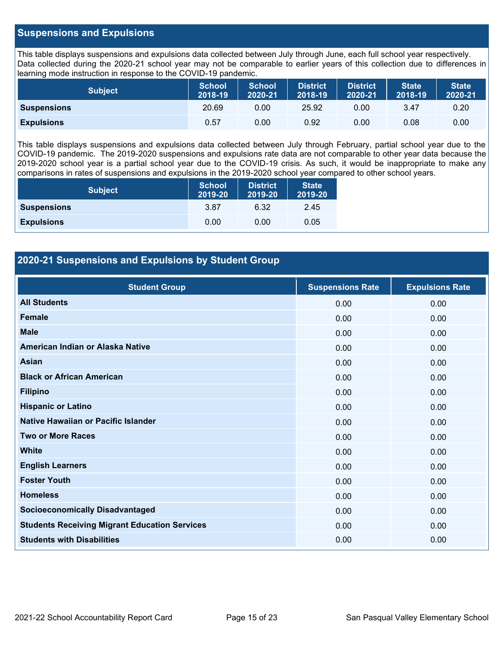### **Suspensions and Expulsions**

This table displays suspensions and expulsions data collected between July through June, each full school year respectively. Data collected during the 2020-21 school year may not be comparable to earlier years of this collection due to differences in learning mode instruction in response to the COVID-19 pandemic.

| <b>Subject</b>     | <b>School</b><br>2018-19 | <b>School</b><br>2020-21 | <b>District</b><br>2018-19 | <b>District</b><br>2020-21 | <b>State</b><br>2018-19 | <b>State</b><br>2020-21 |
|--------------------|--------------------------|--------------------------|----------------------------|----------------------------|-------------------------|-------------------------|
| <b>Suspensions</b> | 20.69                    | 0.00                     | 25.92                      | 0.00                       | 3.47                    | 0.20                    |
| <b>Expulsions</b>  | 0.57                     | 0.00                     | 0.92                       | 0.00                       | 0.08                    | 0.00                    |

This table displays suspensions and expulsions data collected between July through February, partial school year due to the COVID-19 pandemic. The 2019-2020 suspensions and expulsions rate data are not comparable to other year data because the 2019-2020 school year is a partial school year due to the COVID-19 crisis. As such, it would be inappropriate to make any comparisons in rates of suspensions and expulsions in the 2019-2020 school year compared to other school years.

| <b>Subject</b>     | School<br>2019-20 | <b>District</b><br>2019-20 | <b>State</b><br>2019-20 |
|--------------------|-------------------|----------------------------|-------------------------|
| <b>Suspensions</b> | 3.87              | 6.32                       | 2.45                    |
| <b>Expulsions</b>  | 0.00              | 0.00                       | 0.05                    |

### **2020-21 Suspensions and Expulsions by Student Group**

| <b>Student Group</b>                                 | <b>Suspensions Rate</b> | <b>Expulsions Rate</b> |
|------------------------------------------------------|-------------------------|------------------------|
| <b>All Students</b>                                  | 0.00                    | 0.00                   |
| <b>Female</b>                                        | 0.00                    | 0.00                   |
| <b>Male</b>                                          | 0.00                    | 0.00                   |
| American Indian or Alaska Native                     | 0.00                    | 0.00                   |
| <b>Asian</b>                                         | 0.00                    | 0.00                   |
| <b>Black or African American</b>                     | 0.00                    | 0.00                   |
| <b>Filipino</b>                                      | 0.00                    | 0.00                   |
| <b>Hispanic or Latino</b>                            | 0.00                    | 0.00                   |
| Native Hawaiian or Pacific Islander                  | 0.00                    | 0.00                   |
| <b>Two or More Races</b>                             | 0.00                    | 0.00                   |
| <b>White</b>                                         | 0.00                    | 0.00                   |
| <b>English Learners</b>                              | 0.00                    | 0.00                   |
| <b>Foster Youth</b>                                  | 0.00                    | 0.00                   |
| <b>Homeless</b>                                      | 0.00                    | 0.00                   |
| <b>Socioeconomically Disadvantaged</b>               | 0.00                    | 0.00                   |
| <b>Students Receiving Migrant Education Services</b> | 0.00                    | 0.00                   |
| <b>Students with Disabilities</b>                    | 0.00                    | 0.00                   |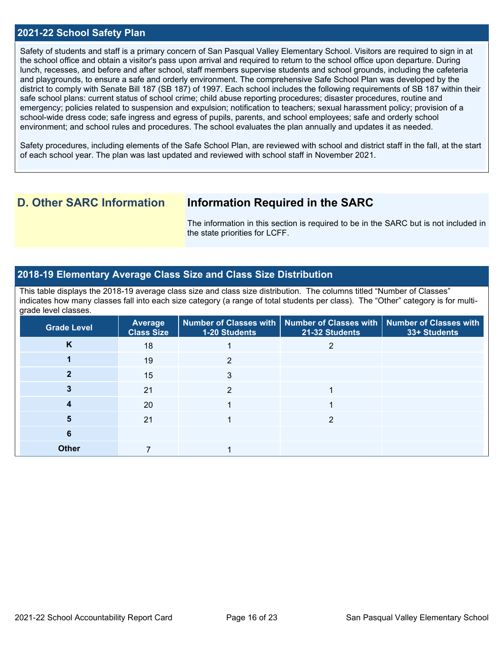### **2021-22 School Safety Plan**

Safety of students and staff is a primary concern of San Pasqual Valley Elementary School. Visitors are required to sign in at the school office and obtain a visitor's pass upon arrival and required to return to the school office upon departure. During lunch, recesses, and before and after school, staff members supervise students and school grounds, including the cafeteria and playgrounds, to ensure a safe and orderly environment. The comprehensive Safe School Plan was developed by the district to comply with Senate Bill 187 (SB 187) of 1997. Each school includes the following requirements of SB 187 within their safe school plans: current status of school crime; child abuse reporting procedures; disaster procedures, routine and emergency; policies related to suspension and expulsion; notification to teachers; sexual harassment policy; provision of a school-wide dress code; safe ingress and egress of pupils, parents, and school employees; safe and orderly school environment; and school rules and procedures. The school evaluates the plan annually and updates it as needed.

Safety procedures, including elements of the Safe School Plan, are reviewed with school and district staff in the fall, at the start of each school year. The plan was last updated and reviewed with school staff in November 2021.

## **D. Other SARC Information Information Required in the SARC**

The information in this section is required to be in the SARC but is not included in the state priorities for LCFF.

### **2018-19 Elementary Average Class Size and Class Size Distribution**

This table displays the 2018-19 average class size and class size distribution. The columns titled "Number of Classes" indicates how many classes fall into each size category (a range of total students per class). The "Other" category is for multigrade level classes.

| <b>Grade Level</b> | <b>Average</b><br><b>Class Size</b> | 1-20 Students | Number of Classes with   Number of Classes with   Number of Classes with<br>21-32 Students | 33+ Students |
|--------------------|-------------------------------------|---------------|--------------------------------------------------------------------------------------------|--------------|
| K                  | 18                                  |               |                                                                                            |              |
|                    | 19                                  |               |                                                                                            |              |
|                    | 15                                  |               |                                                                                            |              |
|                    | 21                                  |               |                                                                                            |              |
|                    | 20                                  |               |                                                                                            |              |
| 5                  | 21                                  |               | 2                                                                                          |              |
| 6                  |                                     |               |                                                                                            |              |
| <b>Other</b>       |                                     |               |                                                                                            |              |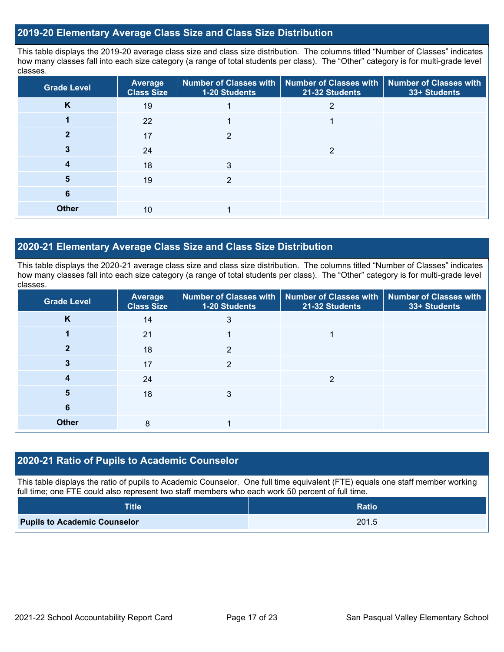### **2019-20 Elementary Average Class Size and Class Size Distribution**

This table displays the 2019-20 average class size and class size distribution. The columns titled "Number of Classes" indicates how many classes fall into each size category (a range of total students per class). The "Other" category is for multi-grade level classes.

| <b>Grade Level</b> | Average<br><b>Class Size</b> | 1-20 Students  | Number of Classes with   Number of Classes with  <br>21-32 Students | <b>Number of Classes with</b><br>33+ Students |
|--------------------|------------------------------|----------------|---------------------------------------------------------------------|-----------------------------------------------|
| K                  | 19                           |                | 2                                                                   |                                               |
|                    | 22                           |                |                                                                     |                                               |
|                    | 17                           | $\mathfrak{p}$ |                                                                     |                                               |
|                    | 24                           |                | 2                                                                   |                                               |
| 4                  | 18                           | 3              |                                                                     |                                               |
| 5                  | 19                           | っ              |                                                                     |                                               |
| 6                  |                              |                |                                                                     |                                               |
| <b>Other</b>       | 10                           |                |                                                                     |                                               |

### **2020-21 Elementary Average Class Size and Class Size Distribution**

This table displays the 2020-21 average class size and class size distribution. The columns titled "Number of Classes" indicates how many classes fall into each size category (a range of total students per class). The "Other" category is for multi-grade level classes.

| <b>Grade Level</b> | Average<br><b>Class Size</b> | 1-20 Students  | Number of Classes with   Number of Classes with   Number of Classes with<br>21-32 Students | 33+ Students |
|--------------------|------------------------------|----------------|--------------------------------------------------------------------------------------------|--------------|
| K                  | 14                           | 3              |                                                                                            |              |
|                    | 21                           |                |                                                                                            |              |
| 2                  | 18                           | $\mathfrak{p}$ |                                                                                            |              |
| 3                  | 17                           | 2              |                                                                                            |              |
| 4                  | 24                           |                | ◠                                                                                          |              |
| 5                  | 18                           | 3              |                                                                                            |              |
| 6                  |                              |                |                                                                                            |              |
| <b>Other</b>       | 8                            |                |                                                                                            |              |

### **2020-21 Ratio of Pupils to Academic Counselor**

This table displays the ratio of pupils to Academic Counselor. One full time equivalent (FTE) equals one staff member working full time; one FTE could also represent two staff members who each work 50 percent of full time.

| <b>Title</b>                        | <b>Ratio</b> |
|-------------------------------------|--------------|
| <b>Pupils to Academic Counselor</b> | 201.5        |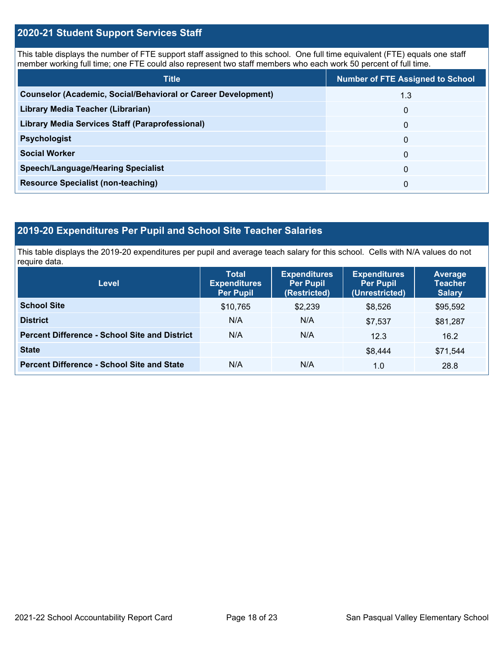### **2020-21 Student Support Services Staff**

This table displays the number of FTE support staff assigned to this school. One full time equivalent (FTE) equals one staff member working full time; one FTE could also represent two staff members who each work 50 percent of full time.

| <b>Title</b>                                                         | <b>Number of FTE Assigned to School</b> |
|----------------------------------------------------------------------|-----------------------------------------|
| <b>Counselor (Academic, Social/Behavioral or Career Development)</b> | 1.3                                     |
| Library Media Teacher (Librarian)                                    | 0                                       |
| <b>Library Media Services Staff (Paraprofessional)</b>               | $\Omega$                                |
| <b>Psychologist</b>                                                  | 0                                       |
| <b>Social Worker</b>                                                 | $\Omega$                                |
| <b>Speech/Language/Hearing Specialist</b>                            | $\Omega$                                |
| <b>Resource Specialist (non-teaching)</b>                            | $\Omega$                                |

### **2019-20 Expenditures Per Pupil and School Site Teacher Salaries**

This table displays the 2019-20 expenditures per pupil and average teach salary for this school. Cells with N/A values do not require data.

| <b>Level</b>                                         | <b>Total</b><br><b>Expenditures</b><br><b>Per Pupil</b> | <b>Expenditures</b><br><b>Per Pupil</b><br>(Restricted) | <b>Expenditures</b><br><b>Per Pupil</b><br>(Unrestricted) | <b>Average</b><br><b>Teacher</b><br><b>Salary</b> |  |
|------------------------------------------------------|---------------------------------------------------------|---------------------------------------------------------|-----------------------------------------------------------|---------------------------------------------------|--|
| <b>School Site</b>                                   | \$10.765                                                | \$2.239                                                 | \$8.526                                                   | \$95,592                                          |  |
| <b>District</b>                                      | N/A                                                     | N/A                                                     | \$7.537                                                   | \$81,287                                          |  |
| <b>Percent Difference - School Site and District</b> | N/A                                                     | N/A                                                     | 12.3                                                      | 16.2                                              |  |
| <b>State</b>                                         |                                                         |                                                         | \$8,444                                                   | \$71,544                                          |  |
| <b>Percent Difference - School Site and State</b>    | N/A                                                     | N/A                                                     | 1.0                                                       | 28.8                                              |  |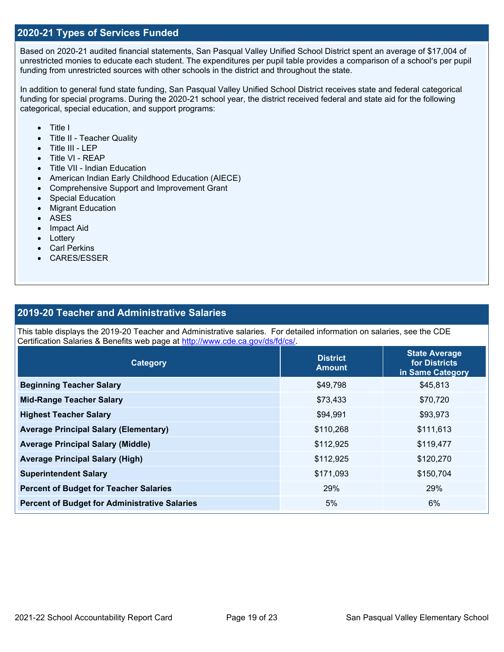### **2020-21 Types of Services Funded**

Based on 2020-21 audited financial statements, San Pasqual Valley Unified School District spent an average of \$17,004 of unrestricted monies to educate each student. The expenditures per pupil table provides a comparison of a school's per pupil funding from unrestricted sources with other schools in the district and throughout the state.

In addition to general fund state funding, San Pasqual Valley Unified School District receives state and federal categorical funding for special programs. During the 2020-21 school year, the district received federal and state aid for the following categorical, special education, and support programs:

- Title I
- Title II Teacher Quality
- Title III LEP
- Title VI REAP
- Title VII Indian Education
- American Indian Early Childhood Education (AIECE)
- Comprehensive Support and Improvement Grant
- Special Education
- **Migrant Education**
- ASES
- Impact Aid
- Lottery
- Carl Perkins
- CARES/ESSER

### **2019-20 Teacher and Administrative Salaries**

This table displays the 2019-20 Teacher and Administrative salaries. For detailed information on salaries, see the CDE Certification Salaries & Benefits web page at [http://www.cde.ca.gov/ds/fd/cs/.](http://www.cde.ca.gov/ds/fd/cs/)

| Category                                             | <b>District</b><br><b>Amount</b> | <b>State Average</b><br>for Districts<br>in Same Category |  |
|------------------------------------------------------|----------------------------------|-----------------------------------------------------------|--|
| <b>Beginning Teacher Salary</b>                      | \$49,798                         | \$45,813                                                  |  |
| <b>Mid-Range Teacher Salary</b>                      | \$73,433                         | \$70,720                                                  |  |
| <b>Highest Teacher Salary</b>                        | \$94,991                         | \$93,973                                                  |  |
| <b>Average Principal Salary (Elementary)</b>         | \$110,268                        | \$111,613                                                 |  |
| <b>Average Principal Salary (Middle)</b>             | \$112,925                        | \$119,477                                                 |  |
| <b>Average Principal Salary (High)</b>               | \$112,925                        | \$120,270                                                 |  |
| <b>Superintendent Salary</b>                         | \$171,093                        | \$150,704                                                 |  |
| <b>Percent of Budget for Teacher Salaries</b>        | 29%                              | 29%                                                       |  |
| <b>Percent of Budget for Administrative Salaries</b> | 5%                               | 6%                                                        |  |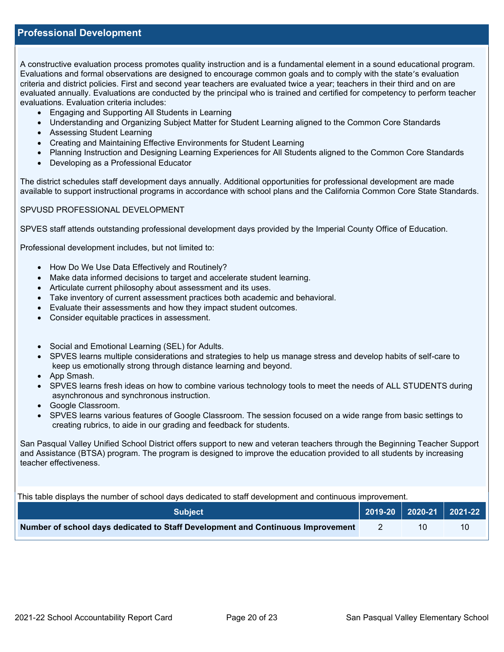### **Professional Development**

A constructive evaluation process promotes quality instruction and is a fundamental element in a sound educational program. Evaluations and formal observations are designed to encourage common goals and to comply with the state's evaluation criteria and district policies. First and second year teachers are evaluated twice a year; teachers in their third and on are evaluated annually. Evaluations are conducted by the principal who is trained and certified for competency to perform teacher evaluations. Evaluation criteria includes:

- Engaging and Supporting All Students in Learning
- Understanding and Organizing Subject Matter for Student Learning aligned to the Common Core Standards
- Assessing Student Learning
- Creating and Maintaining Effective Environments for Student Learning
- Planning Instruction and Designing Learning Experiences for All Students aligned to the Common Core Standards
- Developing as a Professional Educator

The district schedules staff development days annually. Additional opportunities for professional development are made available to support instructional programs in accordance with school plans and the California Common Core State Standards.

### SPVUSD PROFESSIONAL DEVELOPMENT

SPVES staff attends outstanding professional development days provided by the Imperial County Office of Education.

Professional development includes, but not limited to:

- How Do We Use Data Effectively and Routinely?
- Make data informed decisions to target and accelerate student learning.
- Articulate current philosophy about assessment and its uses.
- Take inventory of current assessment practices both academic and behavioral.
- Evaluate their assessments and how they impact student outcomes.
- Consider equitable practices in assessment.
- Social and Emotional Learning (SEL) for Adults.
- SPVES learns multiple considerations and strategies to help us manage stress and develop habits of self-care to keep us emotionally strong through distance learning and beyond.
- App Smash.
- SPVES learns fresh ideas on how to combine various technology tools to meet the needs of ALL STUDENTS during asynchronous and synchronous instruction.
- Google Classroom.
- SPVES learns various features of Google Classroom. The session focused on a wide range from basic settings to creating rubrics, to aide in our grading and feedback for students.

San Pasqual Valley Unified School District offers support to new and veteran teachers through the Beginning Teacher Support and Assistance (BTSA) program. The program is designed to improve the education provided to all students by increasing teacher effectiveness.

This table displays the number of school days dedicated to staff development and continuous improvement.

| Subiect                                                                         |    | 2019-20 2020-21 2021-22 |
|---------------------------------------------------------------------------------|----|-------------------------|
| Number of school days dedicated to Staff Development and Continuous Improvement | 10 | 10                      |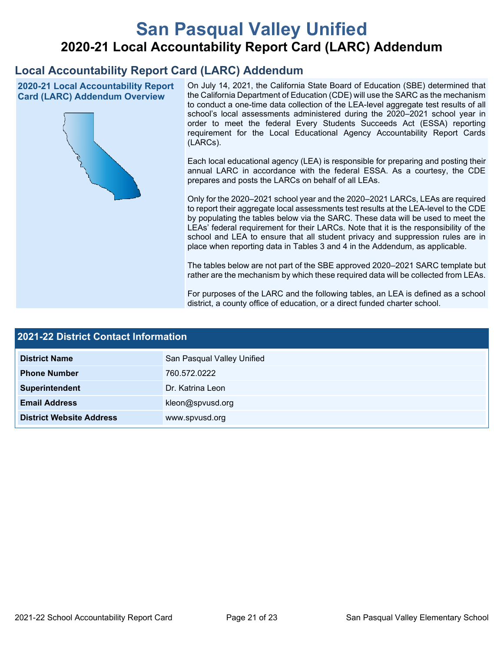# **San Pasqual Valley Unified 2020-21 Local Accountability Report Card (LARC) Addendum**

## **Local Accountability Report Card (LARC) Addendum**

**2020-21 Local Accountability Report Card (LARC) Addendum Overview**



On July 14, 2021, the California State Board of Education (SBE) determined that the California Department of Education (CDE) will use the SARC as the mechanism to conduct a one-time data collection of the LEA-level aggregate test results of all school's local assessments administered during the 2020–2021 school year in order to meet the federal Every Students Succeeds Act (ESSA) reporting requirement for the Local Educational Agency Accountability Report Cards (LARCs).

Each local educational agency (LEA) is responsible for preparing and posting their annual LARC in accordance with the federal ESSA. As a courtesy, the CDE prepares and posts the LARCs on behalf of all LEAs.

Only for the 2020–2021 school year and the 2020–2021 LARCs, LEAs are required to report their aggregate local assessments test results at the LEA-level to the CDE by populating the tables below via the SARC. These data will be used to meet the LEAs' federal requirement for their LARCs. Note that it is the responsibility of the school and LEA to ensure that all student privacy and suppression rules are in place when reporting data in Tables 3 and 4 in the Addendum, as applicable.

The tables below are not part of the SBE approved 2020–2021 SARC template but rather are the mechanism by which these required data will be collected from LEAs.

For purposes of the LARC and the following tables, an LEA is defined as a school district, a county office of education, or a direct funded charter school.

| 2021-22 District Contact Information |                            |  |  |  |
|--------------------------------------|----------------------------|--|--|--|
| <b>District Name</b>                 | San Pasqual Valley Unified |  |  |  |
| <b>Phone Number</b>                  | 760.572.0222               |  |  |  |
| Superintendent                       | Dr. Katrina Leon           |  |  |  |
| <b>Email Address</b>                 | kleon@spvusd.org           |  |  |  |
| <b>District Website Address</b>      | www.spvusd.org             |  |  |  |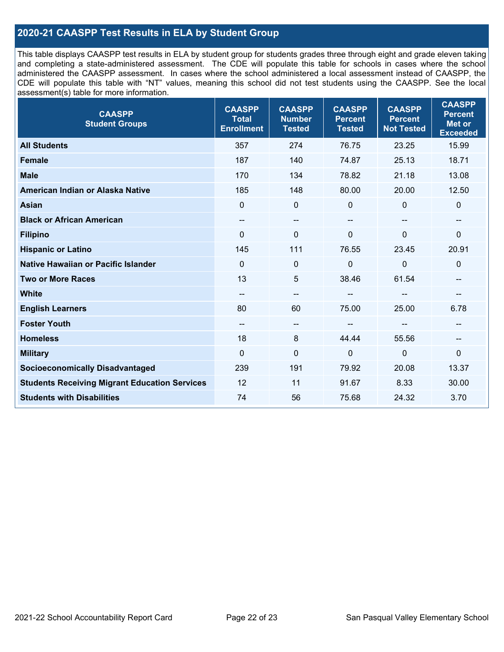## **2020-21 CAASPP Test Results in ELA by Student Group**

This table displays CAASPP test results in ELA by student group for students grades three through eight and grade eleven taking and completing a state-administered assessment. The CDE will populate this table for schools in cases where the school administered the CAASPP assessment. In cases where the school administered a local assessment instead of CAASPP, the CDE will populate this table with "NT" values, meaning this school did not test students using the CAASPP. See the local assessment(s) table for more information.

| <b>CAASPP</b><br><b>Student Groups</b>               | <b>CAASPP</b><br><b>Total</b><br><b>Enrollment</b> | <b>CAASPP</b><br><b>Number</b><br><b>Tested</b> | <b>CAASPP</b><br><b>Percent</b><br><b>Tested</b> | <b>CAASPP</b><br><b>Percent</b><br><b>Not Tested</b> | <b>CAASPP</b><br><b>Percent</b><br><b>Met or</b><br><b>Exceeded</b> |
|------------------------------------------------------|----------------------------------------------------|-------------------------------------------------|--------------------------------------------------|------------------------------------------------------|---------------------------------------------------------------------|
| <b>All Students</b>                                  | 357                                                | 274                                             | 76.75                                            | 23.25                                                | 15.99                                                               |
| <b>Female</b>                                        | 187                                                | 140                                             | 74.87                                            | 25.13                                                | 18.71                                                               |
| <b>Male</b>                                          | 170                                                | 134                                             | 78.82                                            | 21.18                                                | 13.08                                                               |
| American Indian or Alaska Native                     | 185                                                | 148                                             | 80.00                                            | 20.00                                                | 12.50                                                               |
| <b>Asian</b>                                         | $\mathbf{0}$                                       | $\pmb{0}$                                       | 0                                                | $\Omega$                                             | 0                                                                   |
| <b>Black or African American</b>                     | --                                                 | $\overline{\phantom{m}}$                        | --                                               | $\overline{\phantom{a}}$                             | --                                                                  |
| <b>Filipino</b>                                      | $\Omega$                                           | $\mathbf 0$                                     | $\Omega$                                         | $\overline{0}$                                       | $\mathbf{0}$                                                        |
| <b>Hispanic or Latino</b>                            | 145                                                | 111                                             | 76.55                                            | 23.45                                                | 20.91                                                               |
| Native Hawaiian or Pacific Islander                  | $\Omega$                                           | $\mathbf 0$                                     | $\Omega$                                         | $\overline{0}$                                       | 0                                                                   |
| <b>Two or More Races</b>                             | 13                                                 | 5                                               | 38.46                                            | 61.54                                                | --                                                                  |
| <b>White</b>                                         | $\overline{\phantom{a}}$                           | $\overline{\phantom{m}}$                        | --                                               | --                                                   | --                                                                  |
| <b>English Learners</b>                              | 80                                                 | 60                                              | 75.00                                            | 25.00                                                | 6.78                                                                |
| <b>Foster Youth</b>                                  | --                                                 | $\overline{\phantom{a}}$                        |                                                  |                                                      |                                                                     |
| <b>Homeless</b>                                      | 18                                                 | 8                                               | 44.44                                            | 55.56                                                | --                                                                  |
| <b>Military</b>                                      | $\mathbf 0$                                        | $\pmb{0}$                                       | $\mathbf 0$                                      | $\mathbf 0$                                          | $\mathbf 0$                                                         |
| <b>Socioeconomically Disadvantaged</b>               | 239                                                | 191                                             | 79.92                                            | 20.08                                                | 13.37                                                               |
| <b>Students Receiving Migrant Education Services</b> | 12                                                 | 11                                              | 91.67                                            | 8.33                                                 | 30.00                                                               |
| <b>Students with Disabilities</b>                    | 74                                                 | 56                                              | 75.68                                            | 24.32                                                | 3.70                                                                |